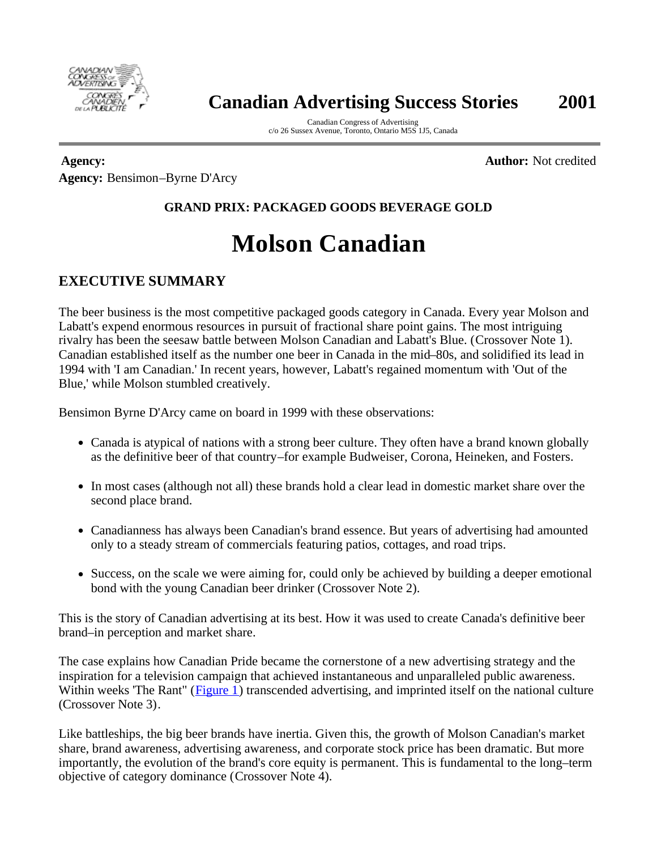

# **Canadian Advertising Success Stories 2001**

Canadian Congress of Advertising c/o 26 Sussex Avenue, Toronto, Ontario M5S 1J5, Canada

**Agency:** Bensimon–Byrne D'Arcy **Agency: Author:** Not credited

## **GRAND PRIX: PACKAGED GOODS BEVERAGE GOLD**

# **Molson Canadian**

## **EXECUTIVE SUMMARY**

The beer business is the most competitive packaged goods category in Canada. Every year Molson and Labatt's expend enormous resources in pursuit of fractional share point gains. The most intriguing rivalry has been the seesaw battle between Molson Canadian and Labatt's Blue. (Crossover Note 1). Canadian established itself as the number one beer in Canada in the mid–80s, and solidified its lead in 1994 with 'I am Canadian.' In recent years, however, Labatt's regained momentum with 'Out of the Blue,' while Molson stumbled creatively.

Bensimon Byrne D'Arcy came on board in 1999 with these observations:

- Canada is atypical of nations with a strong beer culture. They often have a brand known globally as the definitive beer of that country–for example Budweiser, Corona, Heineken, and Fosters.
- In most cases (although not all) these brands hold a clear lead in domestic market share over the second place brand.
- Canadianness has always been Canadian's brand essence. But years of advertising had amounted only to a steady stream of commercials featuring patios, cottages, and road trips.
- Success, on the scale we were aiming for, could only be achieved by building a deeper emotional bond with the young Canadian beer drinker (Crossover Note 2).

This is the story of Canadian advertising at its best. How it was used to create Canada's definitive beer brand–in perception and market share.

The case explains how Canadian Pride became the cornerstone of a new advertising strategy and the inspiration for a television campaign that achieved instantaneous and unparalleled public awareness. Within weeks 'The Rant" (Figure 1) transcended advertising, and imprinted itself on the national culture (Crossover Note 3).

Like battleships, the big beer brands have inertia. Given this, the growth of Molson Canadian's market share, brand awareness, advertising awareness, and corporate stock price has been dramatic. But more importantly, the evolution of the brand's core equity is permanent. This is fundamental to the long–term objective of category dominance (Crossover Note 4).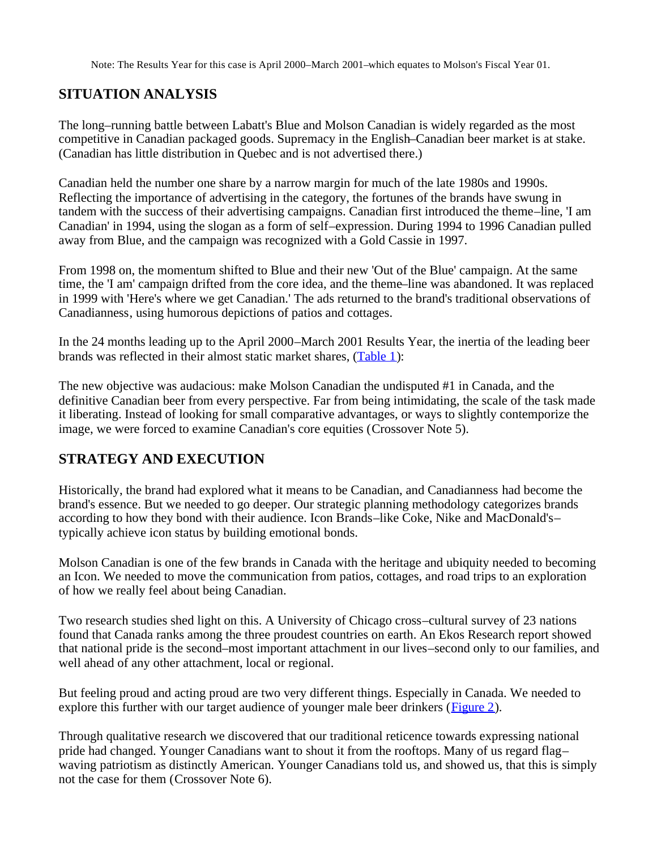Note: The Results Year for this case is April 2000–March 2001–which equates to Molson's Fiscal Year 01.

#### **SITUATION ANALYSIS**

The long–running battle between Labatt's Blue and Molson Canadian is widely regarded as the most competitive in Canadian packaged goods. Supremacy in the English–Canadian beer market is at stake. (Canadian has little distribution in Quebec and is not advertised there.)

Canadian held the number one share by a narrow margin for much of the late 1980s and 1990s. Reflecting the importance of advertising in the category, the fortunes of the brands have swung in tandem with the success of their advertising campaigns. Canadian first introduced the theme–line, 'I am Canadian' in 1994, using the slogan as a form of self–expression. During 1994 to 1996 Canadian pulled away from Blue, and the campaign was recognized with a Gold Cassie in 1997.

From 1998 on, the momentum shifted to Blue and their new 'Out of the Blue' campaign. At the same time, the 'I am' campaign drifted from the core idea, and the theme–line was abandoned. It was replaced in 1999 with 'Here's where we get Canadian.' The ads returned to the brand's traditional observations of Canadianness, using humorous depictions of patios and cottages.

In the 24 months leading up to the April 2000–March 2001 Results Year, the inertia of the leading beer brands was reflected in their almost static market shares, (Table 1):

The new objective was audacious: make Molson Canadian the undisputed #1 in Canada, and the definitive Canadian beer from every perspective. Far from being intimidating, the scale of the task made it liberating. Instead of looking for small comparative advantages, or ways to slightly contemporize the image, we were forced to examine Canadian's core equities (Crossover Note 5).

#### **STRATEGY AND EXECUTION**

Historically, the brand had explored what it means to be Canadian, and Canadianness had become the brand's essence. But we needed to go deeper. Our strategic planning methodology categorizes brands according to how they bond with their audience. Icon Brands–like Coke, Nike and MacDonald's– typically achieve icon status by building emotional bonds.

Molson Canadian is one of the few brands in Canada with the heritage and ubiquity needed to becoming an Icon. We needed to move the communication from patios, cottages, and road trips to an exploration of how we really feel about being Canadian.

Two research studies shed light on this. A University of Chicago cross–cultural survey of 23 nations found that Canada ranks among the three proudest countries on earth. An Ekos Research report showed that national pride is the second–most important attachment in our lives–second only to our families, and well ahead of any other attachment, local or regional.

But feeling proud and acting proud are two very different things. Especially in Canada. We needed to explore this further with our target audience of younger male beer drinkers (Figure 2).

Through qualitative research we discovered that our traditional reticence towards expressing national pride had changed. Younger Canadians want to shout it from the rooftops. Many of us regard flag– waving patriotism as distinctly American. Younger Canadians told us, and showed us, that this is simply not the case for them (Crossover Note 6).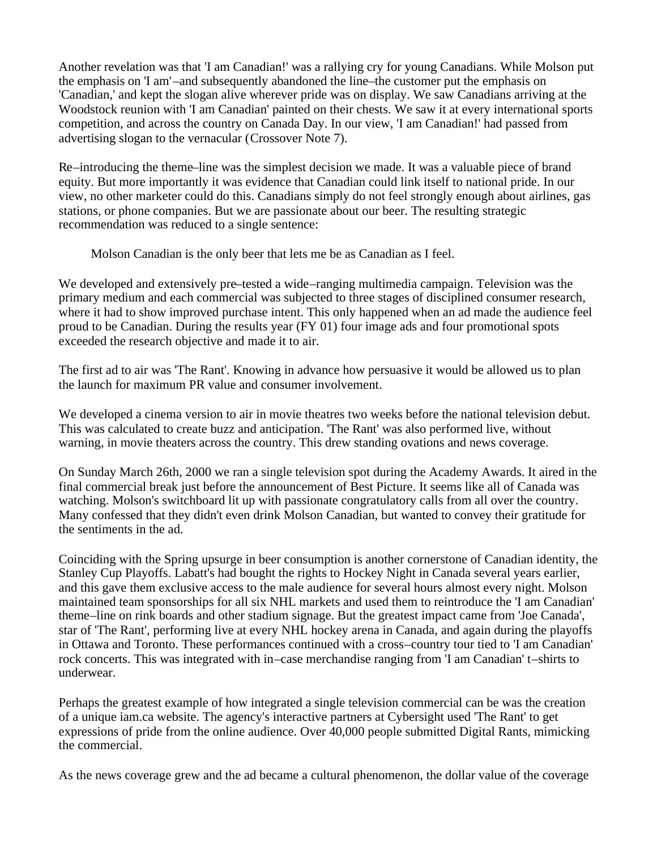Another revelation was that 'I am Canadian!' was a rallying cry for young Canadians. While Molson put the emphasis on 'I am'–and subsequently abandoned the line–the customer put the emphasis on 'Canadian,' and kept the slogan alive wherever pride was on display. We saw Canadians arriving at the Woodstock reunion with 'I am Canadian' painted on their chests. We saw it at every international sports competition, and across the country on Canada Day. In our view, 'I am Canadian!' had passed from advertising slogan to the vernacular (Crossover Note 7).

Re–introducing the theme–line was the simplest decision we made. It was a valuable piece of brand equity. But more importantly it was evidence that Canadian could link itself to national pride. In our view, no other marketer could do this. Canadians simply do not feel strongly enough about airlines, gas stations, or phone companies. But we are passionate about our beer. The resulting strategic recommendation was reduced to a single sentence:

Molson Canadian is the only beer that lets me be as Canadian as I feel.

We developed and extensively pre–tested a wide–ranging multimedia campaign. Television was the primary medium and each commercial was subjected to three stages of disciplined consumer research, where it had to show improved purchase intent. This only happened when an ad made the audience feel proud to be Canadian. During the results year (FY 01) four image ads and four promotional spots exceeded the research objective and made it to air.

The first ad to air was 'The Rant'. Knowing in advance how persuasive it would be allowed us to plan the launch for maximum PR value and consumer involvement.

We developed a cinema version to air in movie theatres two weeks before the national television debut. This was calculated to create buzz and anticipation. 'The Rant' was also performed live, without warning, in movie theaters across the country. This drew standing ovations and news coverage.

On Sunday March 26th, 2000 we ran a single television spot during the Academy Awards. It aired in the final commercial break just before the announcement of Best Picture. It seems like all of Canada was watching. Molson's switchboard lit up with passionate congratulatory calls from all over the country. Many confessed that they didn't even drink Molson Canadian, but wanted to convey their gratitude for the sentiments in the ad.

Coinciding with the Spring upsurge in beer consumption is another cornerstone of Canadian identity, the Stanley Cup Playoffs. Labatt's had bought the rights to Hockey Night in Canada several years earlier, and this gave them exclusive access to the male audience for several hours almost every night. Molson maintained team sponsorships for all six NHL markets and used them to reintroduce the 'I am Canadian' theme–line on rink boards and other stadium signage. But the greatest impact came from 'Joe Canada', star of 'The Rant', performing live at every NHL hockey arena in Canada, and again during the playoffs in Ottawa and Toronto. These performances continued with a cross–country tour tied to 'I am Canadian' rock concerts. This was integrated with in–case merchandise ranging from 'I am Canadian' t–shirts to underwear.

Perhaps the greatest example of how integrated a single television commercial can be was the creation of a unique iam.ca website. The agency's interactive partners at Cybersight used 'The Rant' to get expressions of pride from the online audience. Over 40,000 people submitted Digital Rants, mimicking the commercial.

As the news coverage grew and the ad became a cultural phenomenon, the dollar value of the coverage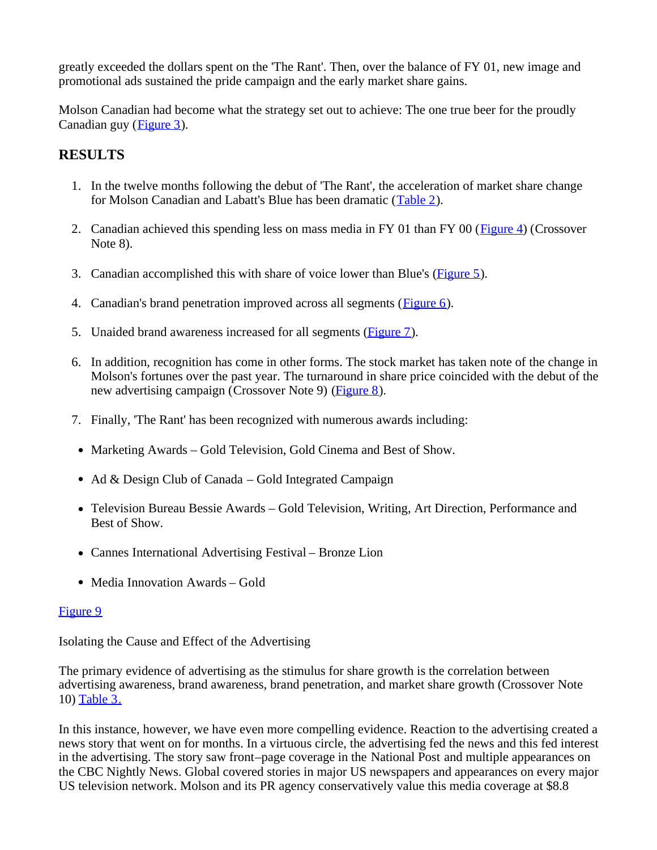greatly exceeded the dollars spent on the 'The Rant'. Then, over the balance of FY 01, new image and promotional ads sustained the pride campaign and the early market share gains.

Molson Canadian had become what the strategy set out to achieve: The one true beer for the proudly Canadian guy (Figure 3).

## **RESULTS**

- 1. In the twelve months following the debut of 'The Rant', the acceleration of market share change for Molson Canadian and Labatt's Blue has been dramatic (Table 2).
- 2. Canadian achieved this spending less on mass media in FY 01 than FY 00 ( $\frac{Figure 4}{2}$ ) (Crossover Note 8).
- 3. Canadian accomplished this with share of voice lower than Blue's (Figure 5).
- 4. Canadian's brand penetration improved across all segments (Figure 6).
- 5. Unaided brand awareness increased for all segments (Figure 7).
- 6. In addition, recognition has come in other forms. The stock market has taken note of the change in Molson's fortunes over the past year. The turnaround in share price coincided with the debut of the new advertising campaign (Crossover Note 9) (Figure 8).
- 7. Finally, 'The Rant' has been recognized with numerous awards including:
- Marketing Awards Gold Television, Gold Cinema and Best of Show.
- Ad & Design Club of Canada Gold Integrated Campaign
- Television Bureau Bessie Awards Gold Television, Writing, Art Direction, Performance and Best of Show.
- Cannes International Advertising Festival Bronze Lion
- Media Innovation Awards Gold

#### Figure 9

Isolating the Cause and Effect of the Advertising

The primary evidence of advertising as the stimulus for share growth is the correlation between advertising awareness, brand awareness, brand penetration, and market share growth (Crossover Note 10) Table 3.

In this instance, however, we have even more compelling evidence. Reaction to the advertising created a news story that went on for months. In a virtuous circle, the advertising fed the news and this fed interest in the advertising. The story saw front–page coverage in the National Post and multiple appearances on the CBC Nightly News. Global covered stories in major US newspapers and appearances on every major US television network. Molson and its PR agency conservatively value this media coverage at \$8.8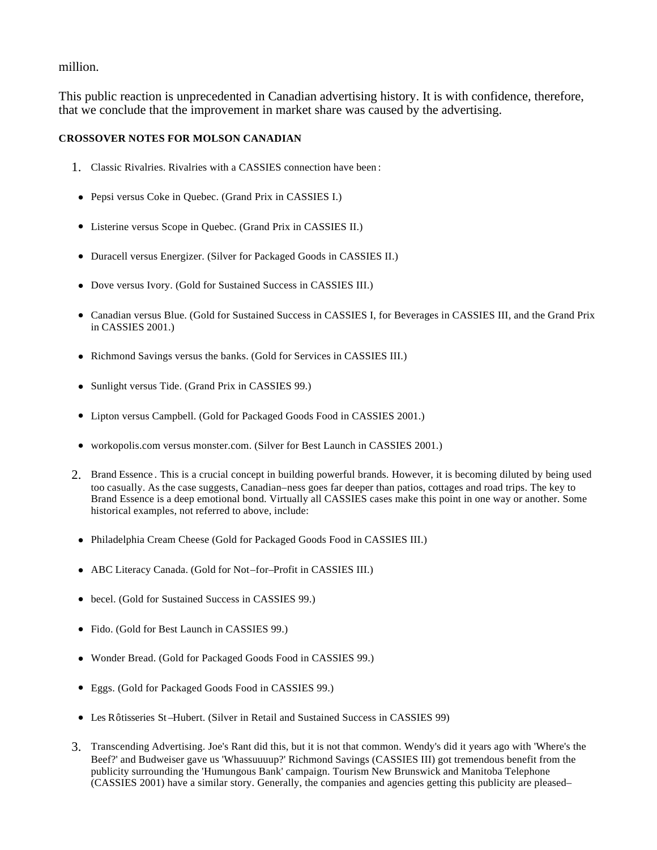#### million.

This public reaction is unprecedented in Canadian advertising history. It is with confidence, therefore, that we conclude that the improvement in market share was caused by the advertising.

#### **CROSSOVER NOTES FOR MOLSON CANADIAN**

- 1. Classic Rivalries. Rivalries with a CASSIES connection have been :
- Pepsi versus Coke in Quebec. (Grand Prix in CASSIES I.)
- Listerine versus Scope in Quebec. (Grand Prix in CASSIES II.)
- Duracell versus Energizer. (Silver for Packaged Goods in CASSIES II.)
- Dove versus Ivory. (Gold for Sustained Success in CASSIES III.)
- <sup>l</sup> Canadian versus Blue. (Gold for Sustained Success in CASSIES I, for Beverages in CASSIES III, and the Grand Prix in CASSIES 2001.)
- Richmond Savings versus the banks. (Gold for Services in CASSIES III.)
- Sunlight versus Tide. (Grand Prix in CASSIES 99.)
- Lipton versus Campbell. (Gold for Packaged Goods Food in CASSIES 2001.)
- workopolis.com versus monster.com. (Silver for Best Launch in CASSIES 2001.)
- 2. Brand Essence . This is a crucial concept in building powerful brands. However, it is becoming diluted by being used too casually. As the case suggests, Canadian–ness goes far deeper than patios, cottages and road trips. The key to Brand Essence is a deep emotional bond. Virtually all CASSIES cases make this point in one way or another. Some historical examples, not referred to above, include:
- Philadelphia Cream Cheese (Gold for Packaged Goods Food in CASSIES III.)
- ABC Literacy Canada. (Gold for Not–for–Profit in CASSIES III.)
- becel. (Gold for Sustained Success in CASSIES 99.)
- Fido. (Gold for Best Launch in CASSIES 99.)
- Wonder Bread. (Gold for Packaged Goods Food in CASSIES 99.)
- Eggs. (Gold for Packaged Goods Food in CASSIES 99.)
- Les Rôtisseries St-Hubert. (Silver in Retail and Sustained Success in CASSIES 99)
- 3. Transcending Advertising. Joe's Rant did this, but it is not that common. Wendy's did it years ago with 'Where's the Beef?' and Budweiser gave us 'Whassuuuup?' Richmond Savings (CASSIES III) got tremendous benefit from the publicity surrounding the 'Humungous Bank' campaign. Tourism New Brunswick and Manitoba Telephone (CASSIES 2001) have a similar story. Generally, the companies and agencies getting this publicity are pleased–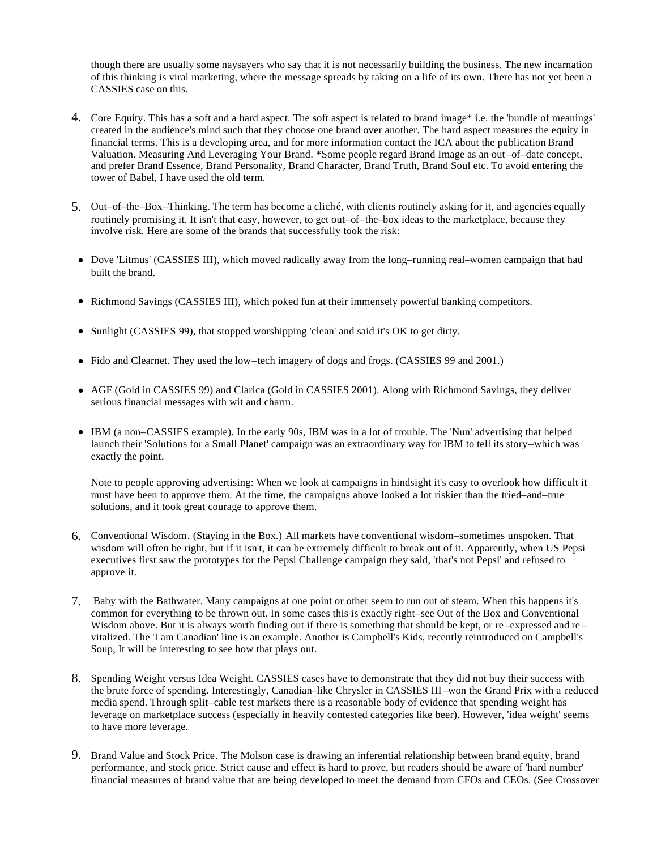though there are usually some naysayers who say that it is not necessarily building the business. The new incarnation of this thinking is viral marketing, where the message spreads by taking on a life of its own. There has not yet been a CASSIES case on this.

- 4. Core Equity. This has a soft and a hard aspect. The soft aspect is related to brand image\* i.e. the 'bundle of meanings' created in the audience's mind such that they choose one brand over another. The hard aspect measures the equity in financial terms. This is a developing area, and for more information contact the ICA about the publication Brand Valuation. Measuring And Leveraging Your Brand. \*Some people regard Brand Image as an out –of–date concept, and prefer Brand Essence, Brand Personality, Brand Character, Brand Truth, Brand Soul etc. To avoid entering the tower of Babel, I have used the old term.
- 5. Out–of–the–Box–Thinking. The term has become a cliché, with clients routinely asking for it, and agencies equally routinely promising it. It isn't that easy, however, to get out–of–the–box ideas to the marketplace, because they involve risk. Here are some of the brands that successfully took the risk:
- Dove 'Litmus' (CASSIES III), which moved radically away from the long–running real–women campaign that had built the brand.
- Richmond Savings (CASSIES III), which poked fun at their immensely powerful banking competitors.
- Sunlight (CASSIES 99), that stopped worshipping 'clean' and said it's OK to get dirty.
- Fido and Clearnet. They used the low–tech imagery of dogs and frogs. (CASSIES 99 and 2001.)
- AGF (Gold in CASSIES 99) and Clarica (Gold in CASSIES 2001). Along with Richmond Savings, they deliver serious financial messages with wit and charm.
- IBM (a non–CASSIES example). In the early 90s, IBM was in a lot of trouble. The 'Nun' advertising that helped launch their 'Solutions for a Small Planet' campaign was an extraordinary way for IBM to tell its story–which was exactly the point.

Note to people approving advertising: When we look at campaigns in hindsight it's easy to overlook how difficult it must have been to approve them. At the time, the campaigns above looked a lot riskier than the tried–and–true solutions, and it took great courage to approve them.

- 6. Conventional Wisdom. (Staying in the Box.) All markets have conventional wisdom–sometimes unspoken. That wisdom will often be right, but if it isn't, it can be extremely difficult to break out of it. Apparently, when US Pepsi executives first saw the prototypes for the Pepsi Challenge campaign they said, 'that's not Pepsi' and refused to approve it.
- 7. Baby with the Bathwater. Many campaigns at one point or other seem to run out of steam. When this happens it's common for everything to be thrown out. In some cases this is exactly right–see Out of the Box and Conventional Wisdom above. But it is always worth finding out if there is something that should be kept, or re-expressed and revitalized. The 'I am Canadian' line is an example. Another is Campbell's Kids, recently reintroduced on Campbell's Soup, It will be interesting to see how that plays out.
- 8. Spending Weight versus Idea Weight. CASSIES cases have to demonstrate that they did not buy their success with the brute force of spending. Interestingly, Canadian–like Chrysler in CASSIES III –won the Grand Prix with a reduced media spend. Through split–cable test markets there is a reasonable body of evidence that spending weight has leverage on marketplace success (especially in heavily contested categories like beer). However, 'idea weight' seems to have more leverage.
- 9. Brand Value and Stock Price. The Molson case is drawing an inferential relationship between brand equity, brand performance, and stock price. Strict cause and effect is hard to prove, but readers should be aware of 'hard number' financial measures of brand value that are being developed to meet the demand from CFOs and CEOs. (See Crossover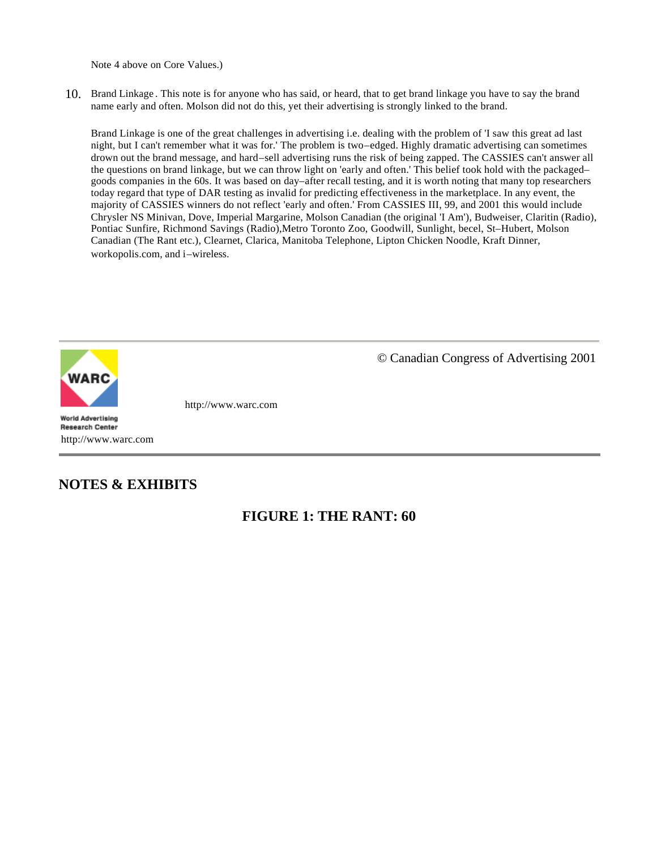Note 4 above on Core Values.)

10. Brand Linkage . This note is for anyone who has said, or heard, that to get brand linkage you have to say the brand name early and often. Molson did not do this, yet their advertising is strongly linked to the brand.

Brand Linkage is one of the great challenges in advertising i.e. dealing with the problem of 'I saw this great ad last night, but I can't remember what it was for.' The problem is two–edged. Highly dramatic advertising can sometimes drown out the brand message, and hard–sell advertising runs the risk of being zapped. The CASSIES can't answer all the questions on brand linkage, but we can throw light on 'early and often.' This belief took hold with the packaged– goods companies in the 60s. It was based on day–after recall testing, and it is worth noting that many top researchers today regard that type of DAR testing as invalid for predicting effectiveness in the marketplace. In any event, the majority of CASSIES winners do not reflect 'early and often.' From CASSIES III, 99, and 2001 this would include Chrysler NS Minivan, Dove, Imperial Margarine, Molson Canadian (the original 'I Am'), Budweiser, Claritin (Radio), Pontiac Sunfire, Richmond Savings (Radio),Metro Toronto Zoo, Goodwill, Sunlight, becel, St–Hubert, Molson Canadian (The Rant etc.), Clearnet, Clarica, Manitoba Telephone, Lipton Chicken Noodle, Kraft Dinner, workopolis.com, and i–wireless.



**World Advertising Research Center** http://www.warc.com

#### **NOTES & EXHIBITS**

© Canadian Congress of Advertising 2001

http://www.warc.com

#### **FIGURE 1: THE RANT: 60**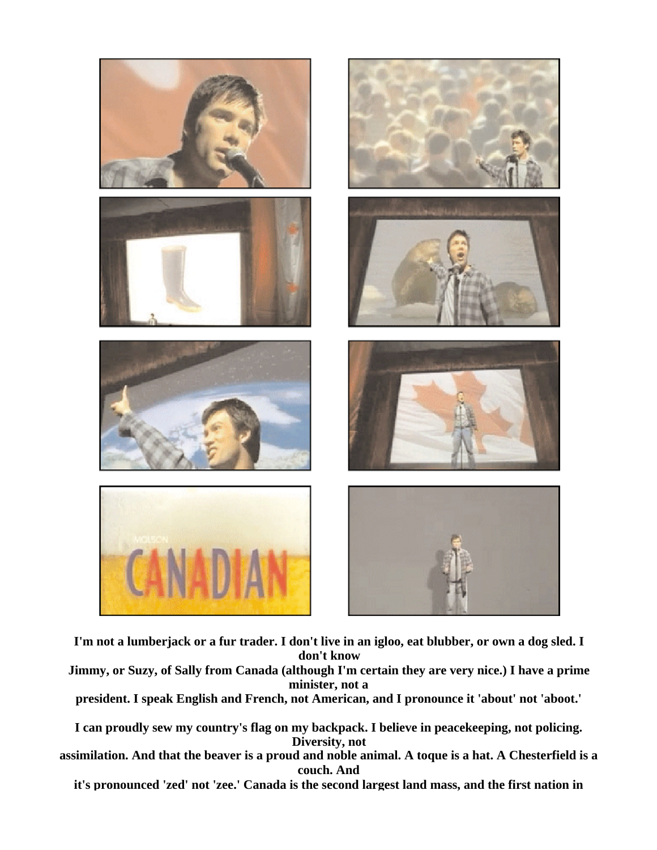

**I'm not a lumberjack or a fur trader. I don't live in an igloo, eat blubber, or own a dog sled. I don't know**

**Jimmy, or Suzy, of Sally from Canada (although I'm certain they are very nice.) I have a prime minister, not a**

**president. I speak English and French, not American, and I pronounce it 'about' not 'aboot.'**

**I can proudly sew my country's flag on my backpack. I believe in peacekeeping, not policing. Diversity, not**

**assimilation. And that the beaver is a proud and noble animal. A toque is a hat. A Chesterfield is a couch. And**

**it's pronounced 'zed' not 'zee.' Canada is the second largest land mass, and the first nation in**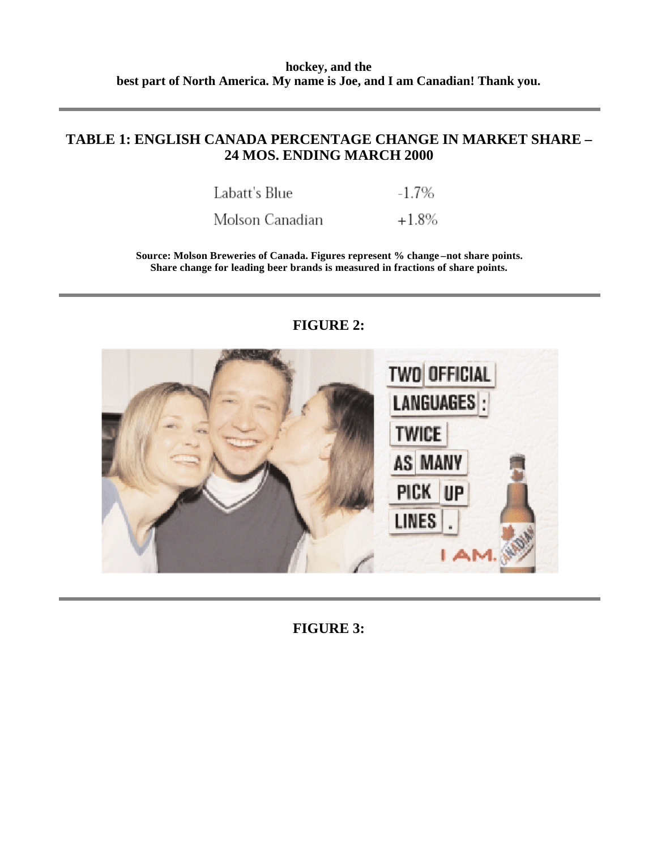#### **TABLE 1: ENGLISH CANADA PERCENTAGE CHANGE IN MARKET SHARE – 24 MOS. ENDING MARCH 2000**

| Labatt's Blue | $-1.7\%$ |
|---------------|----------|
|               |          |

Molson Canadian  $+1.8%$ 

**Source: Molson Breweries of Canada. Figures represent % change –not share points. Share change for leading beer brands is measured in fractions of share points.**



#### **FIGURE 2:**

**FIGURE 3:**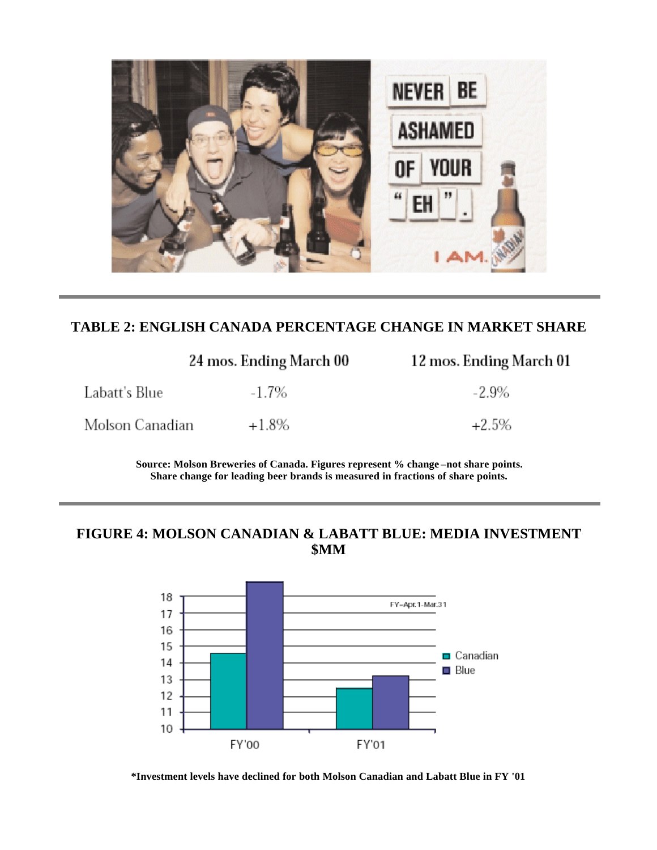

#### **TABLE 2: ENGLISH CANADA PERCENTAGE CHANGE IN MARKET SHARE**

|                 | 24 mos. Ending March 00 | 12 mos. Ending March 01 |
|-----------------|-------------------------|-------------------------|
| Labatt's Blue   | $-1.7\%$                | $-2.9\%$                |
| Molson Canadian | $+1.8\%$                | $+2.5\%$                |

**Source: Molson Breweries of Canada. Figures represent % change –not share points. Share change for leading beer brands is measured in fractions of share points.**

#### **FIGURE 4: MOLSON CANADIAN & LABATT BLUE: MEDIA INVESTMENT \$MM**



**\*Investment levels have declined for both Molson Canadian and Labatt Blue in FY '01**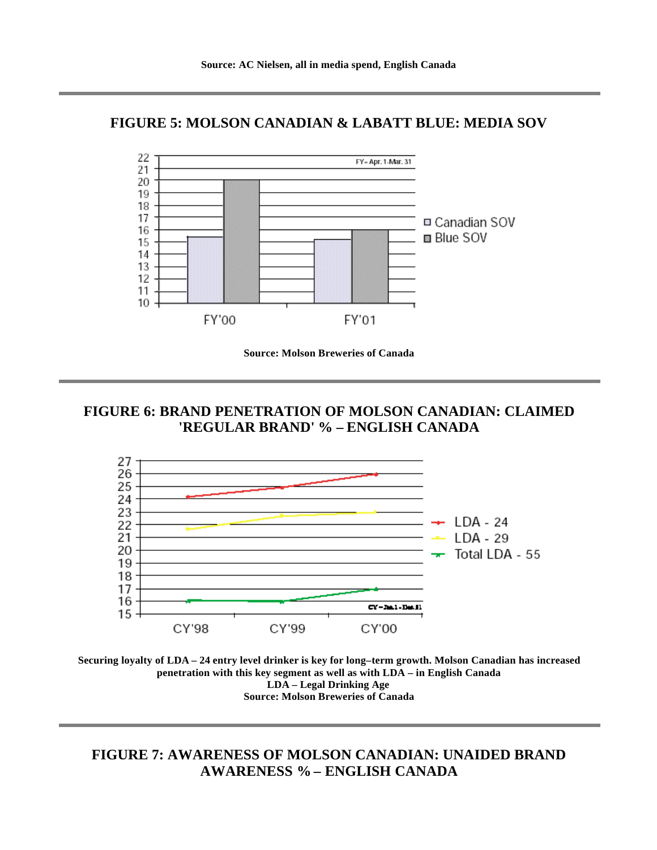#### **FIGURE 5: MOLSON CANADIAN & LABATT BLUE: MEDIA SOV**



**Source: Molson Breweries of Canada**

#### **FIGURE 6: BRAND PENETRATION OF MOLSON CANADIAN: CLAIMED 'REGULAR BRAND' % – ENGLISH CANADA**





**FIGURE 7: AWARENESS OF MOLSON CANADIAN: UNAIDED BRAND AWARENESS % – ENGLISH CANADA**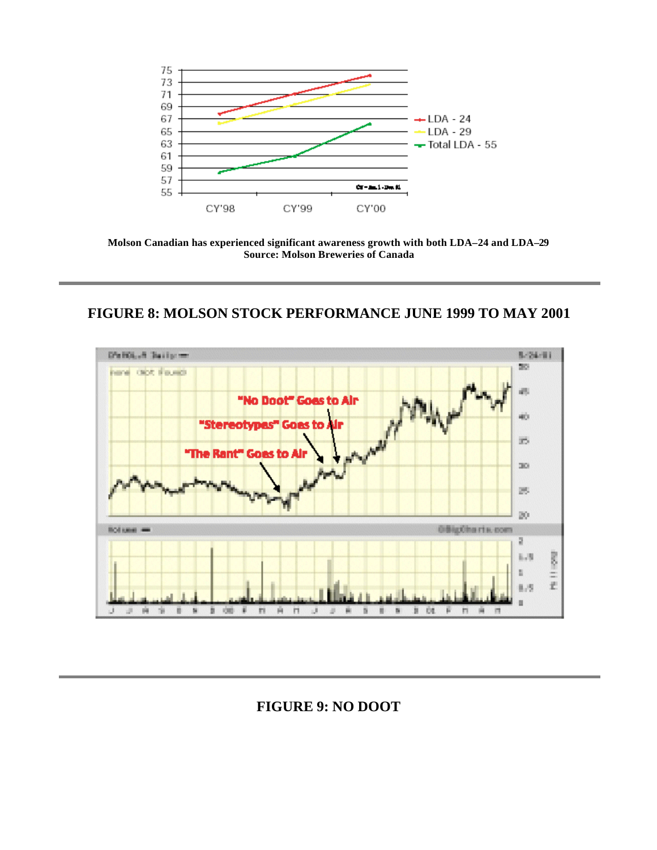

**Molson Canadian has experienced significant awareness growth with both LDA–24 and LDA–29 Source: Molson Breweries of Canada**

#### **FIGURE 8: MOLSON STOCK PERFORMANCE JUNE 1999 TO MAY 2001**



**FIGURE 9: NO DOOT**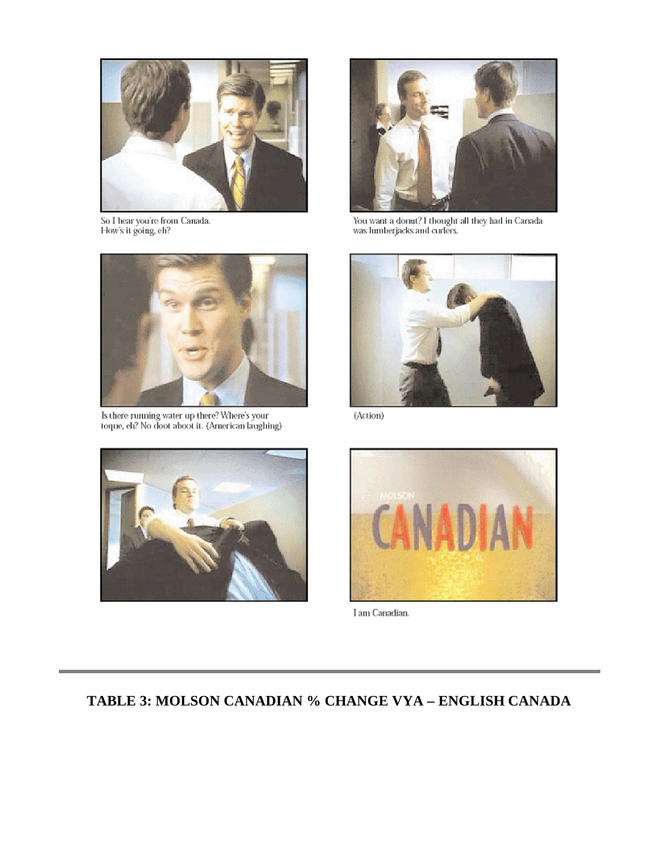

So I hear you're from Canada.<br>How's it going, eh?



Is there running water up there? Where's your<br>toque, eh? No doot aboot it. (American laughing)



You want a donat? I thought all they had in Canada was lumberjacks and curlers.



(Áction)





I am Canadian.

## **TABLE 3: MOLSON CANADIAN % CHANGE VYA – ENGLISH CANADA**